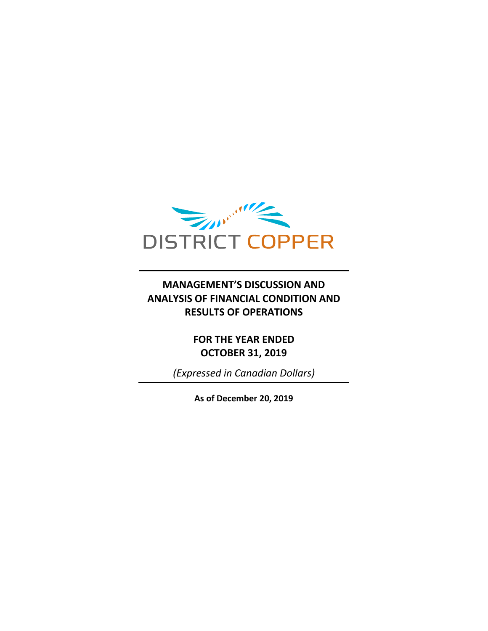

## **MANAGEMENT'S DISCUSSION AND ANALYSIS OF FINANCIAL CONDITION AND RESULTS OF OPERATIONS**

**FOR THE YEAR ENDED OCTOBER 31, 2019**

*(Expressed in Canadian Dollars)*

**As of December 20, 2019**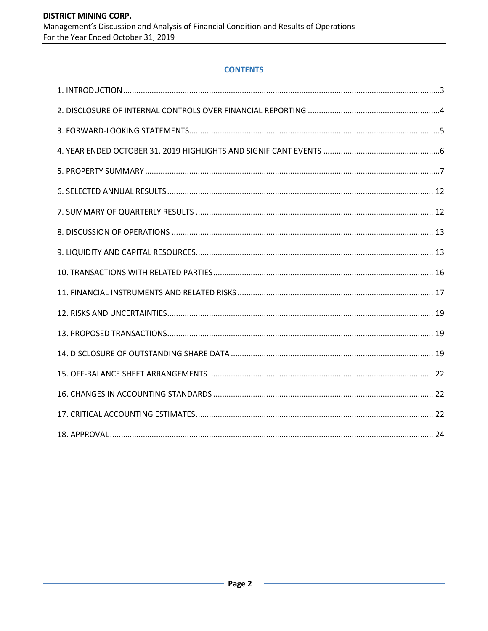### **CONTENTS**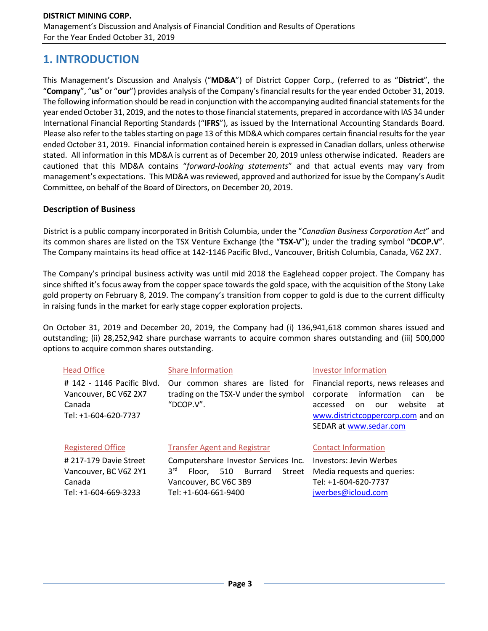## **1. INTRODUCTION**

This Management's Discussion and Analysis ("**MD&A**") of District Copper Corp., (referred to as "**District**", the "**Company**", "**us**" or "**our**") provides analysis of the Company's financial results for the year ended October 31, 2019. The following information should be read in conjunction with the accompanying audited financial statements for the year ended October 31, 2019, and the notes to those financial statements, prepared in accordance with IAS 34 under International Financial Reporting Standards ("**IFRS**"), as issued by the International Accounting Standards Board. Please also refer to the tables starting on page 13 of this MD&A which compares certain financial results for the year ended October 31, 2019. Financial information contained herein is expressed in Canadian dollars, unless otherwise stated. All information in this MD&A is current as of December 20, 2019 unless otherwise indicated. Readers are cautioned that this MD&A contains "*forward-looking statements*" and that actual events may vary from management's expectations. This MD&A was reviewed, approved and authorized for issue by the Company's Audit Committee, on behalf of the Board of Directors, on December 20, 2019.

### **Description of Business**

Tel: +1-604-669-3233

District is a public company incorporated in British Columbia, under the "*Canadian Business Corporation Act*" and its common shares are listed on the TSX Venture Exchange (the "**TSX-V**"); under the trading symbol "**DCOP.V**". The Company maintains its head office at 142-1146 Pacific Blvd., Vancouver, British Columbia, Canada, V6Z 2X7.

The Company's principal business activity was until mid 2018 the Eaglehead copper project. The Company has since shifted it's focus away from the copper space towards the gold space, with the acquisition of the Stony Lake gold property on February 8, 2019. The company's transition from copper to gold is due to the current difficulty in raising funds in the market for early stage copper exploration projects.

On October 31, 2019 and December 20, 2019, the Company had (i) 136,941,618 common shares issued and outstanding; (ii) 28,252,942 share purchase warrants to acquire common shares outstanding and (iii) 500,000 options to acquire common shares outstanding.

| <b>Head Office</b>                                                                    | <b>Share Information</b>                                                                                                      | Investor Information                                                                                                                                                                   |  |  |  |
|---------------------------------------------------------------------------------------|-------------------------------------------------------------------------------------------------------------------------------|----------------------------------------------------------------------------------------------------------------------------------------------------------------------------------------|--|--|--|
| # 142 - 1146 Pacific Blvd.<br>Vancouver, BC V6Z 2X7<br>Canada<br>Tel: +1-604-620-7737 | Our common shares are listed for<br>trading on the TSX-V under the symbol<br>"DCOP.V".                                        | Financial reports, news releases and<br>information<br>corporate<br>be<br>can<br>website<br>accessed<br>on<br>at<br>our<br>www.districtcoppercorp.com and on<br>SEDAR at www.sedar.com |  |  |  |
| <b>Registered Office</b>                                                              | <b>Transfer Agent and Registrar</b>                                                                                           | <b>Contact Information</b>                                                                                                                                                             |  |  |  |
| # 217-179 Davie Street<br>Vancouver, BC V6Z 2Y1<br>Canada                             | Computershare Investor Services Inc.<br>3 <sup>rd</sup><br><b>Burrard</b><br>Street<br>510<br>Floor.<br>Vancouver, BC V6C 3B9 | Investors: Jevin Werbes<br>Media requests and queries:<br>Tel: +1-604-620-7737                                                                                                         |  |  |  |

[jwerbes@icloud.com](mailto:jwerbes@icloud.com)

Tel: +1-604-661-9400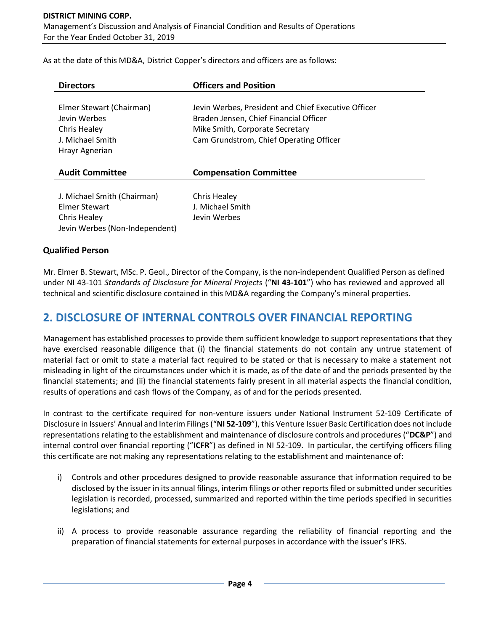As at the date of this MD&A, District Copper's directors and officers are as follows:

| <b>Directors</b>                                                                               | <b>Officers and Position</b>                                                                                                                                                |
|------------------------------------------------------------------------------------------------|-----------------------------------------------------------------------------------------------------------------------------------------------------------------------------|
| Elmer Stewart (Chairman)<br>Jevin Werbes<br>Chris Healey<br>J. Michael Smith<br>Hrayr Agnerian | Jevin Werbes, President and Chief Executive Officer<br>Braden Jensen, Chief Financial Officer<br>Mike Smith, Corporate Secretary<br>Cam Grundstrom, Chief Operating Officer |
| <b>Audit Committee</b>                                                                         | <b>Compensation Committee</b>                                                                                                                                               |
| J. Michael Smith (Chairman)<br>Elmer Stewart<br>Chris Healey<br>Jevin Werbes (Non-Independent) | Chris Healey<br>J. Michael Smith<br>Jevin Werbes                                                                                                                            |

### **Qualified Person**

Mr. Elmer B. Stewart, MSc. P. Geol., Director of the Company, is the non-independent Qualified Person as defined under NI 43-101 *Standards of Disclosure for Mineral Projects* ("**NI 43-101**") who has reviewed and approved all technical and scientific disclosure contained in this MD&A regarding the Company's mineral properties.

## **2. DISCLOSURE OF INTERNAL CONTROLS OVER FINANCIAL REPORTING**

Management has established processes to provide them sufficient knowledge to support representations that they have exercised reasonable diligence that (i) the financial statements do not contain any untrue statement of material fact or omit to state a material fact required to be stated or that is necessary to make a statement not misleading in light of the circumstances under which it is made, as of the date of and the periods presented by the financial statements; and (ii) the financial statements fairly present in all material aspects the financial condition, results of operations and cash flows of the Company, as of and for the periods presented.

In contrast to the certificate required for non-venture issuers under National Instrument 52-109 Certificate of Disclosure in Issuers' Annual and Interim Filings ("**NI 52-109**"), this Venture Issuer Basic Certification does not include representations relating to the establishment and maintenance of disclosure controls and procedures ("**DC&P**") and internal control over financial reporting ("**ICFR**") as defined in NI 52-109. In particular, the certifying officers filing this certificate are not making any representations relating to the establishment and maintenance of:

- i) Controls and other procedures designed to provide reasonable assurance that information required to be disclosed by the issuer in its annual filings, interim filings or other reports filed or submitted under securities legislation is recorded, processed, summarized and reported within the time periods specified in securities legislations; and
- ii) A process to provide reasonable assurance regarding the reliability of financial reporting and the preparation of financial statements for external purposes in accordance with the issuer's IFRS.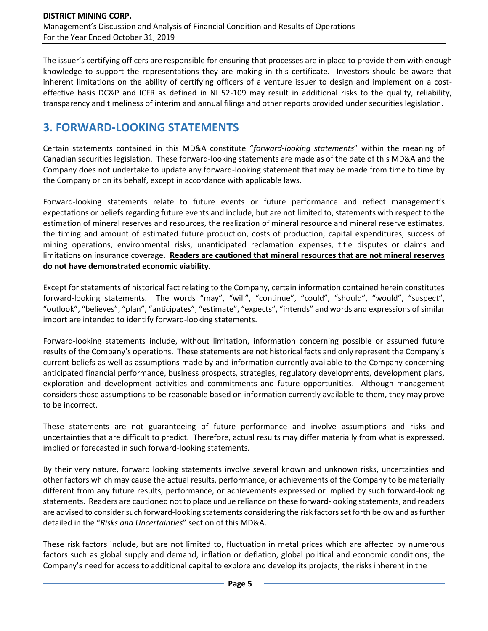The issuer's certifying officers are responsible for ensuring that processes are in place to provide them with enough knowledge to support the representations they are making in this certificate. Investors should be aware that inherent limitations on the ability of certifying officers of a venture issuer to design and implement on a costeffective basis DC&P and ICFR as defined in NI 52-109 may result in additional risks to the quality, reliability, transparency and timeliness of interim and annual filings and other reports provided under securities legislation.

## **3. FORWARD-LOOKING STATEMENTS**

Certain statements contained in this MD&A constitute "*forward-looking statements*" within the meaning of Canadian securities legislation. These forward-looking statements are made as of the date of this MD&A and the Company does not undertake to update any forward-looking statement that may be made from time to time by the Company or on its behalf, except in accordance with applicable laws.

Forward-looking statements relate to future events or future performance and reflect management's expectations or beliefs regarding future events and include, but are not limited to, statements with respect to the estimation of mineral reserves and resources, the realization of mineral resource and mineral reserve estimates, the timing and amount of estimated future production, costs of production, capital expenditures, success of mining operations, environmental risks, unanticipated reclamation expenses, title disputes or claims and limitations on insurance coverage. **Readers are cautioned that mineral resources that are not mineral reserves do not have demonstrated economic viability.**

Except for statements of historical fact relating to the Company, certain information contained herein constitutes forward-looking statements. The words "may", "will", "continue", "could", "should", "would", "suspect", "outlook", "believes", "plan", "anticipates", "estimate", "expects", "intends" and words and expressions of similar import are intended to identify forward-looking statements.

Forward-looking statements include, without limitation, information concerning possible or assumed future results of the Company's operations. These statements are not historical facts and only represent the Company's current beliefs as well as assumptions made by and information currently available to the Company concerning anticipated financial performance, business prospects, strategies, regulatory developments, development plans, exploration and development activities and commitments and future opportunities. Although management considers those assumptions to be reasonable based on information currently available to them, they may prove to be incorrect.

These statements are not guaranteeing of future performance and involve assumptions and risks and uncertainties that are difficult to predict. Therefore, actual results may differ materially from what is expressed, implied or forecasted in such forward-looking statements.

By their very nature, forward looking statements involve several known and unknown risks, uncertainties and other factors which may cause the actual results, performance, or achievements of the Company to be materially different from any future results, performance, or achievements expressed or implied by such forward-looking statements. Readers are cautioned not to place undue reliance on these forward-looking statements, and readers are advised to consider such forward-looking statements considering the risk factors set forth below and as further detailed in the "*Risks and Uncertainties*" section of this MD&A.

These risk factors include, but are not limited to, fluctuation in metal prices which are affected by numerous factors such as global supply and demand, inflation or deflation, global political and economic conditions; the Company's need for access to additional capital to explore and develop its projects; the risks inherent in the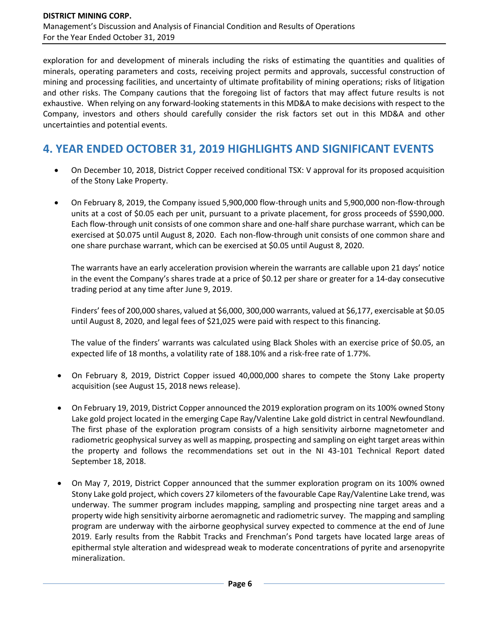exploration for and development of minerals including the risks of estimating the quantities and qualities of minerals, operating parameters and costs, receiving project permits and approvals, successful construction of mining and processing facilities, and uncertainty of ultimate profitability of mining operations; risks of litigation and other risks. The Company cautions that the foregoing list of factors that may affect future results is not exhaustive. When relying on any forward-looking statements in this MD&A to make decisions with respect to the Company, investors and others should carefully consider the risk factors set out in this MD&A and other uncertainties and potential events.

## **4. YEAR ENDED OCTOBER 31, 2019 HIGHLIGHTS AND SIGNIFICANT EVENTS**

- On December 10, 2018, District Copper received conditional TSX: V approval for its proposed acquisition of the Stony Lake Property.
- On February 8, 2019, the Company issued 5,900,000 flow-through units and 5,900,000 non-flow-through units at a cost of \$0.05 each per unit, pursuant to a private placement, for gross proceeds of \$590,000. Each flow-through unit consists of one common share and one-half share purchase warrant, which can be exercised at \$0.075 until August 8, 2020. Each non-flow-through unit consists of one common share and one share purchase warrant, which can be exercised at \$0.05 until August 8, 2020.

The warrants have an early acceleration provision wherein the warrants are callable upon 21 days' notice in the event the Company's shares trade at a price of \$0.12 per share or greater for a 14-day consecutive trading period at any time after June 9, 2019.

Finders' fees of 200,000 shares, valued at \$6,000, 300,000 warrants, valued at \$6,177, exercisable at \$0.05 until August 8, 2020, and legal fees of \$21,025 were paid with respect to this financing.

The value of the finders' warrants was calculated using Black Sholes with an exercise price of \$0.05, an expected life of 18 months, a volatility rate of 188.10% and a risk-free rate of 1.77%.

- On February 8, 2019, District Copper issued 40,000,000 shares to compete the Stony Lake property acquisition (see August 15, 2018 news release).
- On February 19, 2019, District Copper announced the 2019 exploration program on its 100% owned Stony Lake gold project located in the emerging Cape Ray/Valentine Lake gold district in central Newfoundland. The first phase of the exploration program consists of a high sensitivity airborne magnetometer and radiometric geophysical survey as well as mapping, prospecting and sampling on eight target areas within the property and follows the recommendations set out in the NI 43-101 Technical Report dated September 18, 2018.
- On May 7, 2019, District Copper announced that the summer exploration program on its 100% owned Stony Lake gold project, which covers 27 kilometers of the favourable Cape Ray/Valentine Lake trend, was underway. The summer program includes mapping, sampling and prospecting nine target areas and a property wide high sensitivity airborne aeromagnetic and radiometric survey. The mapping and sampling program are underway with the airborne geophysical survey expected to commence at the end of June 2019. Early results from the Rabbit Tracks and Frenchman's Pond targets have located large areas of epithermal style alteration and widespread weak to moderate concentrations of pyrite and arsenopyrite mineralization.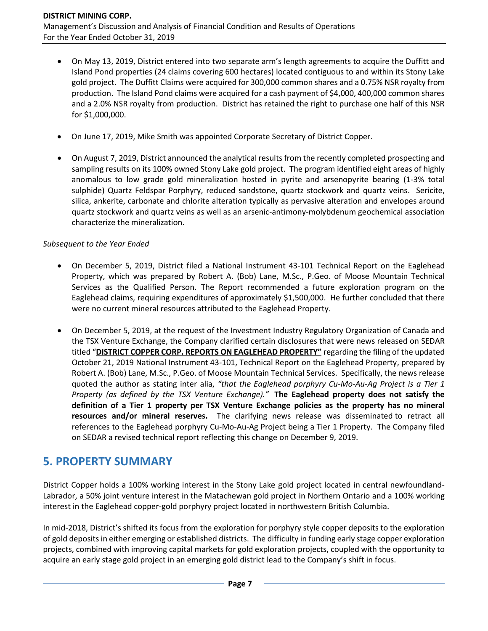- On May 13, 2019, District entered into two separate arm's length agreements to acquire the Duffitt and Island Pond properties (24 claims covering 600 hectares) located contiguous to and within its Stony Lake gold project. The Duffitt Claims were acquired for 300,000 common shares and a 0.75% NSR royalty from production. The Island Pond claims were acquired for a cash payment of \$4,000, 400,000 common shares and a 2.0% NSR royalty from production. District has retained the right to purchase one half of this NSR for \$1,000,000.
- On June 17, 2019, Mike Smith was appointed Corporate Secretary of District Copper.
- On August 7, 2019, District announced the analytical results from the recently completed prospecting and sampling results on its 100% owned Stony Lake gold project. The program identified eight areas of highly anomalous to low grade gold mineralization hosted in pyrite and arsenopyrite bearing (1-3% total sulphide) Quartz Feldspar Porphyry, reduced sandstone, quartz stockwork and quartz veins. Sericite, silica, ankerite, carbonate and chlorite alteration typically as pervasive alteration and envelopes around quartz stockwork and quartz veins as well as an arsenic-antimony-molybdenum geochemical association characterize the mineralization.

### *Subsequent to the Year Ended*

- On December 5, 2019, District filed a National Instrument 43-101 Technical Report on the Eaglehead Property, which was prepared by Robert A. (Bob) Lane, M.Sc., P.Geo. of Moose Mountain Technical Services as the Qualified Person. The Report recommended a future exploration program on the Eaglehead claims, requiring expenditures of approximately \$1,500,000. He further concluded that there were no current mineral resources attributed to the Eaglehead Property.
- On December 5, 2019, at the request of the Investment Industry Regulatory Organization of Canada and the TSX Venture Exchange, the Company clarified certain disclosures that were news released on SEDAR titled "**DISTRICT COPPER CORP. REPORTS ON EAGLEHEAD PROPERTY"** regarding the filing of the updated October 21, 2019 National Instrument 43-101, Technical Report on the Eaglehead Property, prepared by Robert A. (Bob) Lane, M.Sc., P.Geo. of Moose Mountain Technical Services. Specifically, the news release quoted the author as stating inter alia, *"that the Eaglehead porphyry Cu-Mo-Au-Ag Project is a Tier 1 Property (as defined by the TSX Venture Exchange)."* **The Eaglehead property does not satisfy the definition of a Tier 1 property per TSX Venture Exchange policies as the property has no mineral resources and/or mineral reserves.** The clarifying news release was disseminated to retract all references to the Eaglehead porphyry Cu-Mo-Au-Ag Project being a Tier 1 Property. The Company filed on SEDAR a revised technical report reflecting this change on December 9, 2019.

## **5. PROPERTY SUMMARY**

District Copper holds a 100% working interest in the Stony Lake gold project located in central newfoundland-Labrador, a 50% joint venture interest in the Matachewan gold project in Northern Ontario and a 100% working interest in the Eaglehead copper-gold porphyry project located in northwestern British Columbia.

In mid-2018, District's shifted its focus from the exploration for porphyry style copper deposits to the exploration of gold deposits in either emerging or established districts. The difficulty in funding early stage copper exploration projects, combined with improving capital markets for gold exploration projects, coupled with the opportunity to acquire an early stage gold project in an emerging gold district lead to the Company's shift in focus.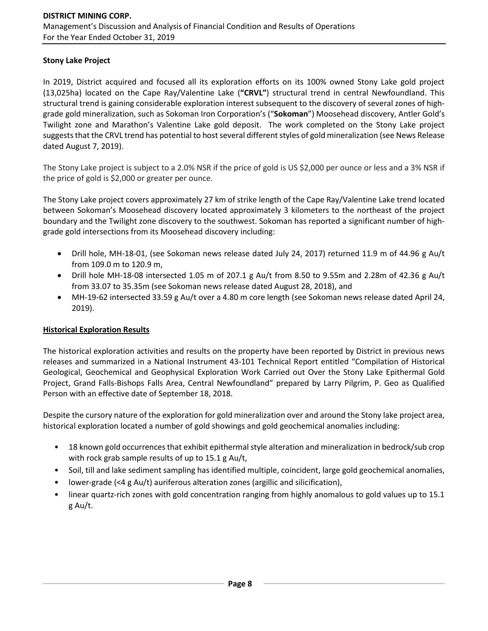### **Stony Lake Project**

In 2019, District acquired and focused all its exploration efforts on its 100% owned Stony Lake gold project (13,025ha) located on the Cape Ray/Valentine Lake (**"CRVL"**) structural trend in central Newfoundland. This structural trend is gaining considerable exploration interest subsequent to the discovery of several zones of highgrade gold mineralization, such as Sokoman Iron Corporation's ("**Sokoman**") Moosehead discovery, Antler Gold's Twilight zone and Marathon's Valentine Lake gold deposit. The work completed on the Stony Lake project suggests that the CRVL trend has potential to host several different styles of gold mineralization (see News Release dated August 7, 2019).

The Stony Lake project is subject to a 2.0% NSR if the price of gold is US \$2,000 per ounce or less and a 3% NSR if the price of gold is \$2,000 or greater per ounce.

The Stony Lake project covers approximately 27 km of strike length of the Cape Ray/Valentine Lake trend located between Sokoman's Moosehead discovery located approximately 3 kilometers to the northeast of the project boundary and the Twilight zone discovery to the southwest. Sokoman has reported a significant number of highgrade gold intersections from its Moosehead discovery including:

- Drill hole, MH-18-01, (see Sokoman news release dated July 24, 2017) returned 11.9 m of 44.96 g Au/t from 109.0 m to 120.9 m,
- Drill hole MH-18-08 intersected 1.05 m of 207.1 g Au/t from 8.50 to 9.55m and 2.28m of 42.36 g Au/t from 33.07 to 35.35m (see Sokoman news release dated August 28, 2018), and
- MH-19-62 intersected 33.59 g Au/t over a 4.80 m core length (see Sokoman news release dated April 24, 2019).

### **Historical Exploration Results**

The historical exploration activities and results on the property have been reported by District in previous news releases and summarized in a National Instrument 43-101 Technical Report entitled "Compilation of Historical Geological, Geochemical and Geophysical Exploration Work Carried out Over the Stony Lake Epithermal Gold Project, Grand Falls-Bishops Falls Area, Central Newfoundland" prepared by Larry Pilgrim, P. Geo as Qualified Person with an effective date of September 18, 2018.

Despite the cursory nature of the exploration for gold mineralization over and around the Stony lake project area, historical exploration located a number of gold showings and gold geochemical anomalies including:

- 18 known gold occurrences that exhibit epithermal style alteration and mineralization in bedrock/sub crop with rock grab sample results of up to 15.1 g Au/t,
- Soil, till and lake sediment sampling has identified multiple, coincident, large gold geochemical anomalies,
- lower-grade (<4 g Au/t) auriferous alteration zones (argillic and silicification),
- linear quartz-rich zones with gold concentration ranging from highly anomalous to gold values up to 15.1 g Au/t.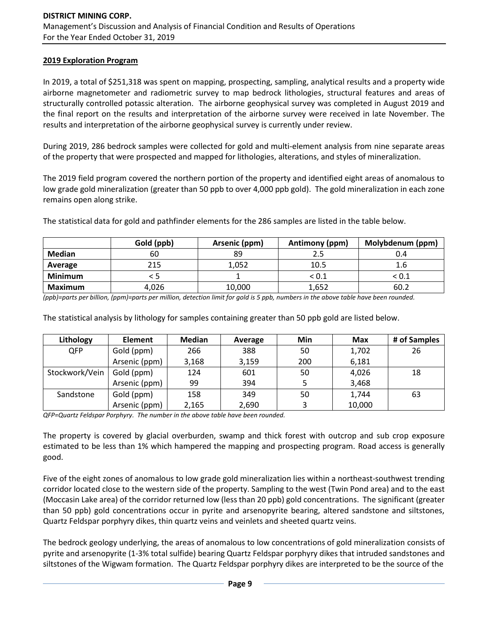#### **2019 Exploration Program**

In 2019, a total of \$251,318 was spent on mapping, prospecting, sampling, analytical results and a property wide airborne magnetometer and radiometric survey to map bedrock lithologies, structural features and areas of structurally controlled potassic alteration. The airborne geophysical survey was completed in August 2019 and the final report on the results and interpretation of the airborne survey were received in late November. The results and interpretation of the airborne geophysical survey is currently under review.

During 2019, 286 bedrock samples were collected for gold and multi-element analysis from nine separate areas of the property that were prospected and mapped for lithologies, alterations, and styles of mineralization.

The 2019 field program covered the northern portion of the property and identified eight areas of anomalous to low grade gold mineralization (greater than 50 ppb to over 4,000 ppb gold). The gold mineralization in each zone remains open along strike.

The statistical data for gold and pathfinder elements for the 286 samples are listed in the table below.

|                | Gold (ppb) | Arsenic (ppm) | Antimony (ppm) | Molybdenum (ppm) |
|----------------|------------|---------------|----------------|------------------|
| <b>Median</b>  | 60         | 89            |                | 0.4              |
| Average        | 215        | 1,052         | 10.5           | 1.6              |
| <b>Minimum</b> |            |               | ${}_{< 0.1}$   | $<$ 0.1 $\,$     |
| <b>Maximum</b> | 4,026      | 10,000        | 1,652          | 60.2             |

*(ppb)=parts per billion, (ppm)=parts per million, detection limit for gold is 5 ppb, numbers in the above table have been rounded.*

The statistical analysis by lithology for samples containing greater than 50 ppb gold are listed below.

| Lithology      | <b>Element</b> | <b>Median</b> | Average | Min | <b>Max</b> | # of Samples |
|----------------|----------------|---------------|---------|-----|------------|--------------|
| <b>QFP</b>     | Gold (ppm)     | 266           | 388     | 50  | 1,702      | 26           |
|                | Arsenic (ppm)  | 3,168         | 3,159   | 200 | 6,181      |              |
| Stockwork/Vein | Gold (ppm)     | 124           | 601     | 50  | 4,026      | 18           |
|                | Arsenic (ppm)  | 99            | 394     |     | 3,468      |              |
| Sandstone      | Gold (ppm)     | 158           | 349     | 50  | 1,744      | 63           |
|                | Arsenic (ppm)  | 2,165         | 2,690   |     | 10,000     |              |

*QFP=Quartz Feldspar Porphyry. The number in the above table have been rounded.*

The property is covered by glacial overburden, swamp and thick forest with outcrop and sub crop exposure estimated to be less than 1% which hampered the mapping and prospecting program. Road access is generally good.

Five of the eight zones of anomalous to low grade gold mineralization lies within a northeast-southwest trending corridor located close to the western side of the property. Sampling to the west (Twin Pond area) and to the east (Moccasin Lake area) of the corridor returned low (less than 20 ppb) gold concentrations. The significant (greater than 50 ppb) gold concentrations occur in pyrite and arsenopyrite bearing, altered sandstone and siltstones, Quartz Feldspar porphyry dikes, thin quartz veins and veinlets and sheeted quartz veins.

The bedrock geology underlying, the areas of anomalous to low concentrations of gold mineralization consists of pyrite and arsenopyrite (1-3% total sulfide) bearing Quartz Feldspar porphyry dikes that intruded sandstones and siltstones of the Wigwam formation. The Quartz Feldspar porphyry dikes are interpreted to be the source of the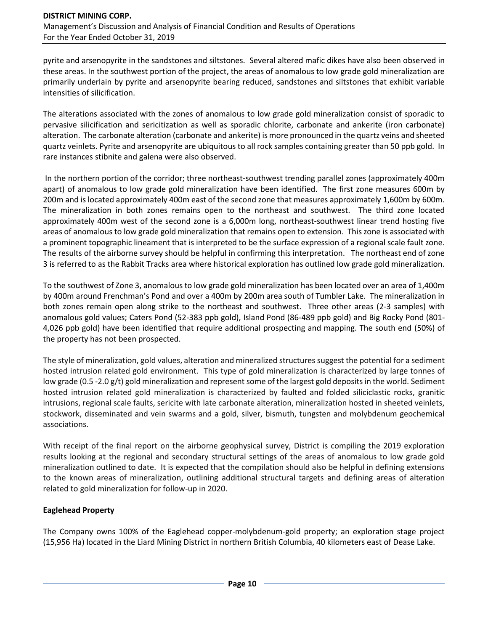pyrite and arsenopyrite in the sandstones and siltstones. Several altered mafic dikes have also been observed in these areas. In the southwest portion of the project, the areas of anomalous to low grade gold mineralization are primarily underlain by pyrite and arsenopyrite bearing reduced, sandstones and siltstones that exhibit variable intensities of silicification.

The alterations associated with the zones of anomalous to low grade gold mineralization consist of sporadic to pervasive silicification and sericitization as well as sporadic chlorite, carbonate and ankerite (iron carbonate) alteration. The carbonate alteration (carbonate and ankerite) is more pronounced in the quartz veins and sheeted quartz veinlets. Pyrite and arsenopyrite are ubiquitous to all rock samples containing greater than 50 ppb gold. In rare instances stibnite and galena were also observed.

In the northern portion of the corridor; three northeast-southwest trending parallel zones (approximately 400m apart) of anomalous to low grade gold mineralization have been identified. The first zone measures 600m by 200m and is located approximately 400m east of the second zone that measures approximately 1,600m by 600m. The mineralization in both zones remains open to the northeast and southwest. The third zone located approximately 400m west of the second zone is a 6,000m long, northeast-southwest linear trend hosting five areas of anomalous to low grade gold mineralization that remains open to extension. This zone is associated with a prominent topographic lineament that is interpreted to be the surface expression of a regional scale fault zone. The results of the airborne survey should be helpful in confirming this interpretation. The northeast end of zone 3 is referred to as the Rabbit Tracks area where historical exploration has outlined low grade gold mineralization.

To the southwest of Zone 3, anomalous to low grade gold mineralization has been located over an area of 1,400m by 400m around Frenchman's Pond and over a 400m by 200m area south of Tumbler Lake. The mineralization in both zones remain open along strike to the northeast and southwest. Three other areas (2-3 samples) with anomalous gold values; Caters Pond (52-383 ppb gold), Island Pond (86-489 ppb gold) and Big Rocky Pond (801- 4,026 ppb gold) have been identified that require additional prospecting and mapping. The south end (50%) of the property has not been prospected.

The style of mineralization, gold values, alteration and mineralized structures suggest the potential for a sediment hosted intrusion related gold environment. This type of gold mineralization is characterized by large tonnes of low grade (0.5 -2.0 g/t) gold mineralization and represent some of the largest gold deposits in the world. Sediment hosted intrusion related gold mineralization is characterized by faulted and folded siliciclastic rocks, granitic intrusions, regional scale faults, sericite with late carbonate alteration, mineralization hosted in sheeted veinlets, stockwork, disseminated and vein swarms and a gold, silver, bismuth, tungsten and molybdenum geochemical associations.

With receipt of the final report on the airborne geophysical survey, District is compiling the 2019 exploration results looking at the regional and secondary structural settings of the areas of anomalous to low grade gold mineralization outlined to date. It is expected that the compilation should also be helpful in defining extensions to the known areas of mineralization, outlining additional structural targets and defining areas of alteration related to gold mineralization for follow-up in 2020.

### **Eaglehead Property**

The Company owns 100% of the Eaglehead copper-molybdenum-gold property; an exploration stage project (15,956 Ha) located in the Liard Mining District in northern British Columbia, 40 kilometers east of Dease Lake.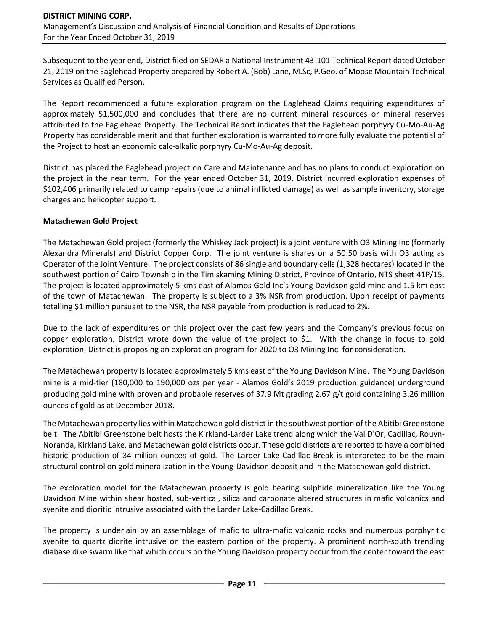Subsequent to the year end, District filed on SEDAR a National Instrument 43-101 Technical Report dated October 21, 2019 on the Eaglehead Property prepared by Robert A. (Bob) Lane, M.Sc, P.Geo. of Moose Mountain Technical Services as Qualified Person.

The Report recommended a future exploration program on the Eaglehead Claims requiring expenditures of approximately \$1,500,000 and concludes that there are no current mineral resources or mineral reserves attributed to the Eaglehead Property. The Technical Report indicates that the Eaglehead porphyry Cu-Mo-Au-Ag Property has considerable merit and that further exploration is warranted to more fully evaluate the potential of the Project to host an economic calc-alkalic porphyry Cu-Mo-Au-Ag deposit.

District has placed the Eaglehead project on Care and Maintenance and has no plans to conduct exploration on the project in the near term. For the year ended October 31, 2019, District incurred exploration expenses of \$102,406 primarily related to camp repairs (due to animal inflicted damage) as well as sample inventory, storage charges and helicopter support.

#### **Matachewan Gold Project**

The Matachewan Gold project (formerly the Whiskey Jack project) is a joint venture with O3 Mining Inc (formerly Alexandra Minerals) and District Copper Corp. The joint venture is shares on a 50:50 basis with O3 acting as Operator of the Joint Venture. The project consists of 86 single and boundary cells (1,328 hectares) located in the southwest portion of Cairo Township in the Timiskaming Mining District, Province of Ontario, NTS sheet 41P/15. The project is located approximately 5 kms east of Alamos Gold Inc's Young Davidson gold mine and 1.5 km east of the town of Matachewan. The property is subject to a 3% NSR from production. Upon receipt of payments totalling \$1 million pursuant to the NSR, the NSR payable from production is reduced to 2%.

Due to the lack of expenditures on this project over the past few years and the Company's previous focus on copper exploration, District wrote down the value of the project to \$1. With the change in focus to gold exploration, District is proposing an exploration program for 2020 to O3 Mining Inc. for consideration.

The Matachewan property is located approximately 5 kms east of the Young Davidson Mine. The Young Davidson mine is a mid-tier (180,000 to 190,000 ozs per year - Alamos Gold's 2019 production guidance) underground producing gold mine with proven and probable reserves of 37.9 Mt grading 2.67 g/t gold containing 3.26 million ounces of gold as at December 2018.

The Matachewan property lies within Matachewan gold district in the southwest portion of the Abitibi Greenstone belt. The Abitibi Greenstone belt hosts the Kirkland-Larder Lake trend along which the Val D'Or, Cadillac, Rouyn-Noranda, Kirkland Lake, and Matachewan gold districts occur. These gold districts are reported to have a combined historic production of 34 million ounces of gold. The Larder Lake-Cadillac Break is interpreted to be the main structural control on gold mineralization in the Young-Davidson deposit and in the Matachewan gold district.

The exploration model for the Matachewan property is gold bearing sulphide mineralization like the Young Davidson Mine within shear hosted, sub-vertical, silica and carbonate altered structures in mafic volcanics and syenite and dioritic intrusive associated with the Larder Lake-Cadillac Break.

The property is underlain by an assemblage of mafic to ultra-mafic volcanic rocks and numerous porphyritic syenite to quartz diorite intrusive on the eastern portion of the property. A prominent north-south trending diabase dike swarm like that which occurs on the Young Davidson property occur from the center toward the east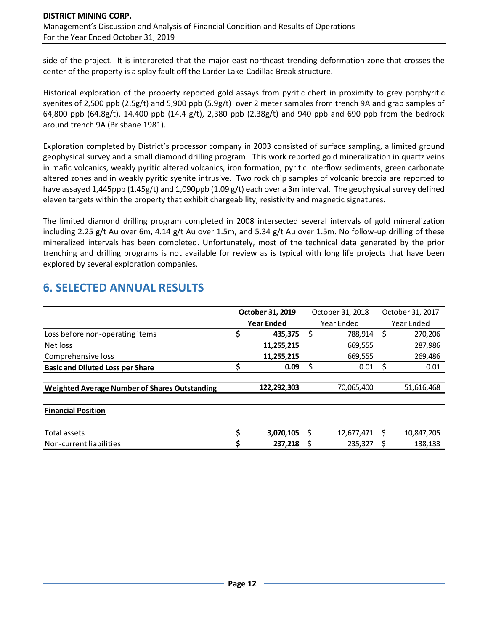side of the project. It is interpreted that the major east-northeast trending deformation zone that crosses the center of the property is a splay fault off the Larder Lake-Cadillac Break structure.

Historical exploration of the property reported gold assays from pyritic chert in proximity to grey porphyritic syenites of 2,500 ppb (2.5g/t) and 5,900 ppb (5.9g/t) over 2 meter samples from trench 9A and grab samples of 64,800 ppb (64.8g/t), 14,400 ppb (14.4 g/t), 2,380 ppb (2.38g/t) and 940 ppb and 690 ppb from the bedrock around trench 9A (Brisbane 1981).

Exploration completed by District's processor company in 2003 consisted of surface sampling, a limited ground geophysical survey and a small diamond drilling program. This work reported gold mineralization in quartz veins in mafic volcanics, weakly pyritic altered volcanics, iron formation, pyritic interflow sediments, green carbonate altered zones and in weakly pyritic syenite intrusive. Two rock chip samples of volcanic breccia are reported to have assayed 1,445ppb (1.45g/t) and 1,090ppb (1.09 g/t) each over a 3m interval. The geophysical survey defined eleven targets within the property that exhibit chargeability, resistivity and magnetic signatures.

The limited diamond drilling program completed in 2008 intersected several intervals of gold mineralization including 2.25 g/t Au over 6m, 4.14 g/t Au over 1.5m, and 5.34 g/t Au over 1.5m. No follow-up drilling of these mineralized intervals has been completed. Unfortunately, most of the technical data generated by the prior trenching and drilling programs is not available for review as is typical with long life projects that have been explored by several exploration companies.

|                                               | October 31, 2019 |             |    |                  |                  |            |  |
|-----------------------------------------------|------------------|-------------|----|------------------|------------------|------------|--|
|                                               |                  |             |    | October 31, 2018 | October 31, 2017 |            |  |
|                                               |                  | Year Ended  |    | Year Ended       | Year Ended       |            |  |
| Loss before non-operating items               | \$               | 435.375     | \$ | 788,914          | \$               | 270,206    |  |
| Net loss                                      |                  | 11,255,215  |    | 669,555          |                  | 287,986    |  |
| Comprehensive loss                            |                  | 11,255,215  |    | 669,555          |                  | 269,486    |  |
| <b>Basic and Diluted Loss per Share</b>       | Ś                | 0.09        | \$ | 0.01             | \$               | 0.01       |  |
|                                               |                  |             |    |                  |                  |            |  |
| Weighted Average Number of Shares Outstanding |                  | 122,292,303 |    | 70,065,400       |                  | 51,616,468 |  |
|                                               |                  |             |    |                  |                  |            |  |
| <b>Financial Position</b>                     |                  |             |    |                  |                  |            |  |
| Total assets                                  | \$               | 3,070,105   | S  | 12,677,471       | S                | 10,847,205 |  |
| Non-current liabilities                       | Ś                | 237.218     |    | 235.327          |                  | 138.133    |  |

## **6. SELECTED ANNUAL RESULTS**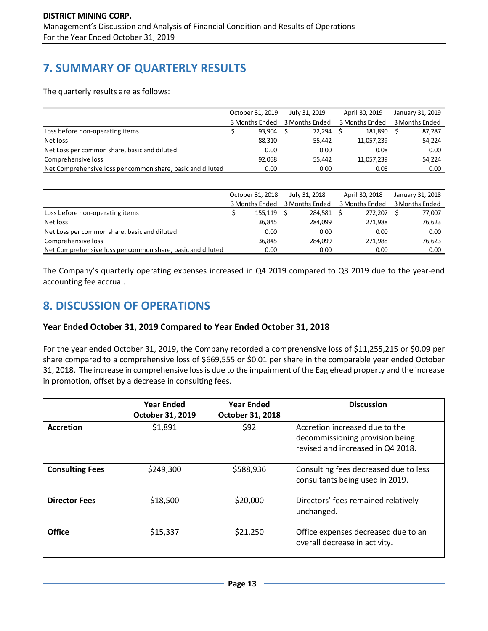# **7. SUMMARY OF QUARTERLY RESULTS**

The quarterly results are as follows:

|                                                            | October 31, 2019 |        | July 31, 2019  |        | April 30, 2019 | January 31, 2019 |
|------------------------------------------------------------|------------------|--------|----------------|--------|----------------|------------------|
|                                                            | 3 Months Ended   |        | 3 Months Ended |        | 3 Months Ended | 3 Months Ended   |
| Loss before non-operating items                            |                  | 93.904 |                | 72,294 | 181.890        | 87,287           |
| Net loss                                                   |                  | 88,310 |                | 55,442 | 11,057,239     | 54,224           |
| Net Loss per common share, basic and diluted               |                  | 0.00   |                | 0.00   | 0.08           | 0.00             |
| Comprehensive loss                                         |                  | 92,058 |                | 55.442 | 11,057,239     | 54,224           |
| Net Comprehensive loss per common share, basic and diluted |                  | 0.00   |                | 0.00   | 0.08           | 0.00             |

|                                                            | October 31, 2018 | July 31, 2018  | April 30, 2018 | January 31, 2018 |
|------------------------------------------------------------|------------------|----------------|----------------|------------------|
|                                                            | 3 Months Ended   | 3 Months Ended | 3 Months Ended | 3 Months Ended   |
| Loss before non-operating items                            | 155.119          | 284.581        | 272.207        | 77,007           |
| Net loss                                                   | 36.845           | 284.099        | 271.988        | 76,623           |
| Net Loss per common share, basic and diluted               | 0.00             | 0.00           | 0.00           | 0.00             |
| Comprehensive loss                                         | 36.845           | 284.099        | 271.988        | 76,623           |
| Net Comprehensive loss per common share, basic and diluted | 0.00             | 0.00           | 0.00           | 0.00             |

The Company's quarterly operating expenses increased in Q4 2019 compared to Q3 2019 due to the year-end accounting fee accrual.

## **8. DISCUSSION OF OPERATIONS**

## **Year Ended October 31, 2019 Compared to Year Ended October 31, 2018**

For the year ended October 31, 2019, the Company recorded a comprehensive loss of \$11,255,215 or \$0.09 per share compared to a comprehensive loss of \$669,555 or \$0.01 per share in the comparable year ended October 31, 2018. The increase in comprehensive loss is due to the impairment of the Eaglehead property and the increase in promotion, offset by a decrease in consulting fees.

|                        | <b>Year Ended</b><br>October 31, 2019 | <b>Year Ended</b><br>October 31, 2018 | <b>Discussion</b>                                                                                      |
|------------------------|---------------------------------------|---------------------------------------|--------------------------------------------------------------------------------------------------------|
| <b>Accretion</b>       | \$1,891                               | \$92                                  | Accretion increased due to the<br>decommissioning provision being<br>revised and increased in Q4 2018. |
| <b>Consulting Fees</b> | \$249,300                             | \$588,936                             | Consulting fees decreased due to less<br>consultants being used in 2019.                               |
| <b>Director Fees</b>   | \$18,500                              | \$20,000                              | Directors' fees remained relatively<br>unchanged.                                                      |
| <b>Office</b>          | \$15,337                              | \$21,250                              | Office expenses decreased due to an<br>overall decrease in activity.                                   |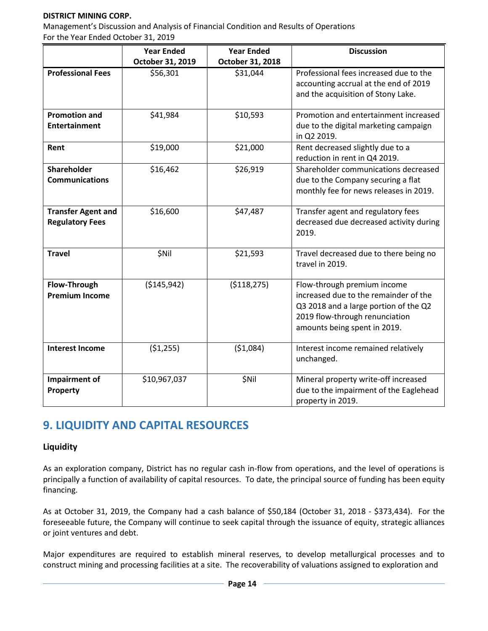### **DISTRICT MINING CORP.**

Management's Discussion and Analysis of Financial Condition and Results of Operations For the Year Ended October 31, 2019

|                           | <b>Year Ended</b> | <b>Year Ended</b> | <b>Discussion</b>                                    |
|---------------------------|-------------------|-------------------|------------------------------------------------------|
|                           | October 31, 2019  | October 31, 2018  |                                                      |
| <b>Professional Fees</b>  | \$56,301          | \$31,044          | Professional fees increased due to the               |
|                           |                   |                   | accounting accrual at the end of 2019                |
|                           |                   |                   | and the acquisition of Stony Lake.                   |
|                           |                   |                   |                                                      |
| <b>Promotion and</b>      | \$41,984          | \$10,593          | Promotion and entertainment increased                |
| <b>Entertainment</b>      |                   |                   | due to the digital marketing campaign<br>in Q2 2019. |
| Rent                      | \$19,000          | \$21,000          | Rent decreased slightly due to a                     |
|                           |                   |                   | reduction in rent in Q4 2019.                        |
| <b>Shareholder</b>        | \$16,462          | \$26,919          | Shareholder communications decreased                 |
| <b>Communications</b>     |                   |                   | due to the Company securing a flat                   |
|                           |                   |                   | monthly fee for news releases in 2019.               |
|                           |                   |                   |                                                      |
| <b>Transfer Agent and</b> | \$16,600          | \$47,487          | Transfer agent and regulatory fees                   |
| <b>Regulatory Fees</b>    |                   |                   | decreased due decreased activity during<br>2019.     |
|                           |                   |                   |                                                      |
| <b>Travel</b>             | \$Nil             | \$21,593          | Travel decreased due to there being no               |
|                           |                   |                   | travel in 2019.                                      |
|                           |                   |                   |                                                      |
| Flow-Through              | ( \$145, 942)     | ( \$118, 275)     | Flow-through premium income                          |
| <b>Premium Income</b>     |                   |                   | increased due to the remainder of the                |
|                           |                   |                   | Q3 2018 and a large portion of the Q2                |
|                           |                   |                   | 2019 flow-through renunciation                       |
|                           |                   |                   | amounts being spent in 2019.                         |
| <b>Interest Income</b>    | (51, 255)         | (51,084)          | Interest income remained relatively                  |
|                           |                   |                   | unchanged.                                           |
| Impairment of             | \$10,967,037      | <b>\$Nil</b>      | Mineral property write-off increased                 |
| Property                  |                   |                   | due to the impairment of the Eaglehead               |
|                           |                   |                   | property in 2019.                                    |

## **9. LIQUIDITY AND CAPITAL RESOURCES**

### **Liquidity**

As an exploration company, District has no regular cash in-flow from operations, and the level of operations is principally a function of availability of capital resources. To date, the principal source of funding has been equity financing.

As at October 31, 2019, the Company had a cash balance of \$50,184 (October 31, 2018 - \$373,434). For the foreseeable future, the Company will continue to seek capital through the issuance of equity, strategic alliances or joint ventures and debt.

Major expenditures are required to establish mineral reserves, to develop metallurgical processes and to construct mining and processing facilities at a site. The recoverability of valuations assigned to exploration and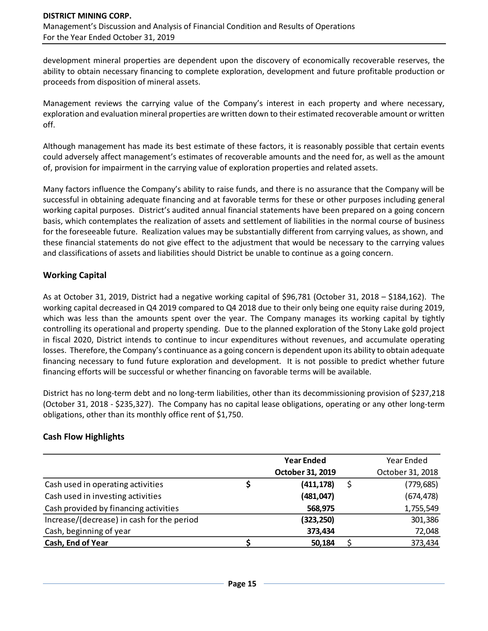development mineral properties are dependent upon the discovery of economically recoverable reserves, the ability to obtain necessary financing to complete exploration, development and future profitable production or proceeds from disposition of mineral assets.

Management reviews the carrying value of the Company's interest in each property and where necessary, exploration and evaluation mineral properties are written down to their estimated recoverable amount or written off.

Although management has made its best estimate of these factors, it is reasonably possible that certain events could adversely affect management's estimates of recoverable amounts and the need for, as well as the amount of, provision for impairment in the carrying value of exploration properties and related assets.

Many factors influence the Company's ability to raise funds, and there is no assurance that the Company will be successful in obtaining adequate financing and at favorable terms for these or other purposes including general working capital purposes. District's audited annual financial statements have been prepared on a going concern basis, which contemplates the realization of assets and settlement of liabilities in the normal course of business for the foreseeable future. Realization values may be substantially different from carrying values, as shown, and these financial statements do not give effect to the adjustment that would be necessary to the carrying values and classifications of assets and liabilities should District be unable to continue as a going concern.

## **Working Capital**

As at October 31, 2019, District had a negative working capital of \$96,781 (October 31, 2018 – \$184,162). The working capital decreased in Q4 2019 compared to Q4 2018 due to their only being one equity raise during 2019, which was less than the amounts spent over the year. The Company manages its working capital by tightly controlling its operational and property spending. Due to the planned exploration of the Stony Lake gold project in fiscal 2020, District intends to continue to incur expenditures without revenues, and accumulate operating losses. Therefore, the Company's continuance as a going concern is dependent upon its ability to obtain adequate financing necessary to fund future exploration and development. It is not possible to predict whether future financing efforts will be successful or whether financing on favorable terms will be available.

District has no long-term debt and no long-term liabilities, other than its decommissioning provision of \$237,218 (October 31, 2018 - \$235,327). The Company has no capital lease obligations, operating or any other long-term obligations, other than its monthly office rent of \$1,750.

### **Cash Flow Highlights**

|                                            |   | <b>Year Ended</b> | Year Ended       |
|--------------------------------------------|---|-------------------|------------------|
|                                            |   | October 31, 2019  | October 31, 2018 |
| Cash used in operating activities          | S | (411, 178)        | (779, 685)       |
| Cash used in investing activities          |   | (481, 047)        | (674, 478)       |
| Cash provided by financing activities      |   | 568,975           | 1,755,549        |
| Increase/(decrease) in cash for the period |   | (323,250)         | 301,386          |
| Cash, beginning of year                    |   | 373,434           | 72,048           |
| Cash, End of Year                          |   | 50,184            | 373,434          |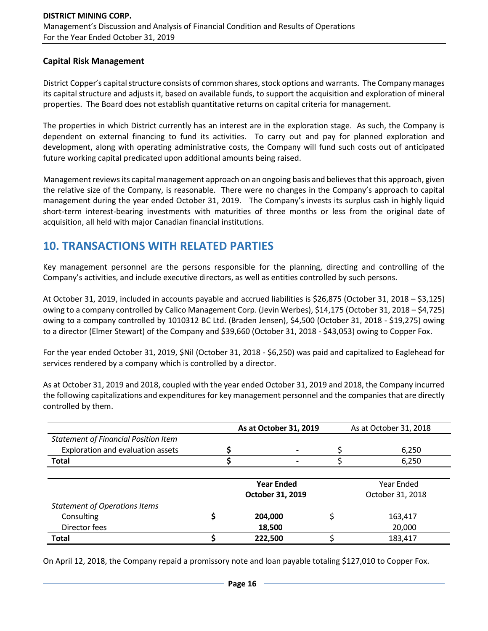### **Capital Risk Management**

District Copper's capital structure consists of common shares, stock options and warrants. The Company manages its capital structure and adjusts it, based on available funds, to support the acquisition and exploration of mineral properties. The Board does not establish quantitative returns on capital criteria for management.

The properties in which District currently has an interest are in the exploration stage. As such, the Company is dependent on external financing to fund its activities. To carry out and pay for planned exploration and development, along with operating administrative costs, the Company will fund such costs out of anticipated future working capital predicated upon additional amounts being raised.

Management reviews its capital management approach on an ongoing basis and believes that this approach, given the relative size of the Company, is reasonable. There were no changes in the Company's approach to capital management during the year ended October 31, 2019. The Company's invests its surplus cash in highly liquid short-term interest-bearing investments with maturities of three months or less from the original date of acquisition, all held with major Canadian financial institutions.

## **10. TRANSACTIONS WITH RELATED PARTIES**

Key management personnel are the persons responsible for the planning, directing and controlling of the Company's activities, and include executive directors, as well as entities controlled by such persons.

At October 31, 2019, included in accounts payable and accrued liabilities is \$26,875 (October 31, 2018 – \$3,125) owing to a company controlled by Calico Management Corp. (Jevin Werbes), \$14,175 (October 31, 2018 – \$4,725) owing to a company controlled by 1010312 BC Ltd. (Braden Jensen), \$4,500 (October 31, 2018 - \$19,275) owing to a director (Elmer Stewart) of the Company and \$39,660 (October 31, 2018 - \$43,053) owing to Copper Fox.

For the year ended October 31, 2019, \$Nil (October 31, 2018 - \$6,250) was paid and capitalized to Eaglehead for services rendered by a company which is controlled by a director.

As at October 31, 2019 and 2018, coupled with the year ended October 31, 2019 and 2018, the Company incurred the following capitalizations and expenditures for key management personnel and the companies that are directly controlled by them.

|                                             | As at October 31, 2019   | As at October 31, 2018 |  |  |
|---------------------------------------------|--------------------------|------------------------|--|--|
| <b>Statement of Financial Position Item</b> |                          |                        |  |  |
| Exploration and evaluation assets           |                          | 6,250                  |  |  |
| <b>Total</b>                                | $\overline{\phantom{0}}$ | 6,250                  |  |  |
|                                             |                          |                        |  |  |
|                                             | <b>Year Ended</b>        | Year Ended             |  |  |
|                                             | October 31, 2019         | October 31, 2018       |  |  |
| <b>Statement of Operations Items</b>        |                          |                        |  |  |
| Consulting                                  | 204,000                  | 163,417                |  |  |
| Director fees                               | 18,500                   | 20,000                 |  |  |
| <b>Total</b>                                | 222,500                  | 183,417                |  |  |

On April 12, 2018, the Company repaid a promissory note and loan payable totaling \$127,010 to Copper Fox.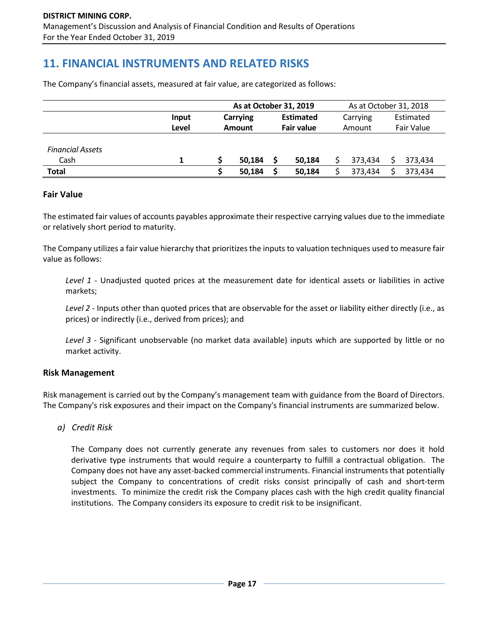## **11. FINANCIAL INSTRUMENTS AND RELATED RISKS**

The Company's financial assets, measured at fair value, are categorized as follows:

|                         |       | As at October 31, 2019    |        |                                |        | As at October 31, 2018 |         |                         |         |
|-------------------------|-------|---------------------------|--------|--------------------------------|--------|------------------------|---------|-------------------------|---------|
|                         | Input | Carrying<br><b>Amount</b> |        | <b>Estimated</b><br>Fair value |        | Carrying<br>Amount     |         | Estimated<br>Fair Value |         |
|                         | Level |                           |        |                                |        |                        |         |                         |         |
|                         |       |                           |        |                                |        |                        |         |                         |         |
| <b>Financial Assets</b> |       |                           |        |                                |        |                        |         |                         |         |
| Cash                    |       |                           | 50.184 |                                | 50.184 |                        | 373.434 |                         | 373.434 |
| <b>Total</b>            |       |                           | 50.184 |                                | 50,184 |                        | 373,434 |                         | 373,434 |

#### **Fair Value**

The estimated fair values of accounts payables approximate their respective carrying values due to the immediate or relatively short period to maturity.

The Company utilizes a fair value hierarchy that prioritizes the inputs to valuation techniques used to measure fair value as follows:

*Level 1* - Unadjusted quoted prices at the measurement date for identical assets or liabilities in active markets;

*Level 2* - Inputs other than quoted prices that are observable for the asset or liability either directly (i.e., as prices) or indirectly (i.e., derived from prices); and

*Level 3* - Significant unobservable (no market data available) inputs which are supported by little or no market activity.

#### **Risk Management**

Risk management is carried out by the Company's management team with guidance from the Board of Directors. The Company's risk exposures and their impact on the Company's financial instruments are summarized below.

*a) Credit Risk*

The Company does not currently generate any revenues from sales to customers nor does it hold derivative type instruments that would require a counterparty to fulfill a contractual obligation. The Company does not have any asset-backed commercial instruments. Financial instruments that potentially subject the Company to concentrations of credit risks consist principally of cash and short-term investments. To minimize the credit risk the Company places cash with the high credit quality financial institutions. The Company considers its exposure to credit risk to be insignificant.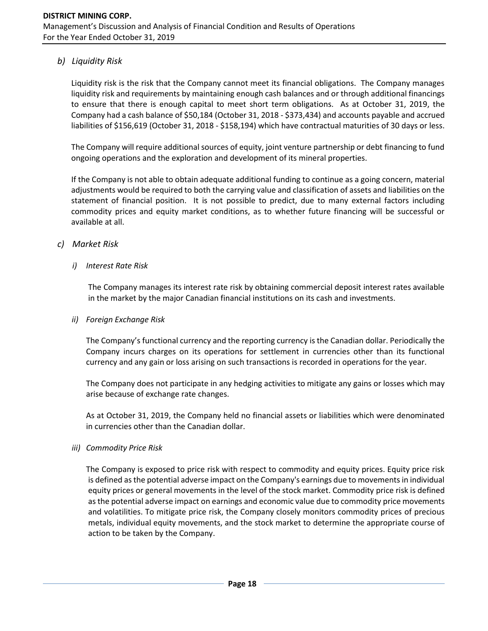## *b) Liquidity Risk*

Liquidity risk is the risk that the Company cannot meet its financial obligations. The Company manages liquidity risk and requirements by maintaining enough cash balances and or through additional financings to ensure that there is enough capital to meet short term obligations. As at October 31, 2019, the Company had a cash balance of \$50,184 (October 31, 2018 - \$373,434) and accounts payable and accrued liabilities of \$156,619 (October 31, 2018 - \$158,194) which have contractual maturities of 30 days or less.

The Company will require additional sources of equity, joint venture partnership or debt financing to fund ongoing operations and the exploration and development of its mineral properties.

If the Company is not able to obtain adequate additional funding to continue as a going concern, material adjustments would be required to both the carrying value and classification of assets and liabilities on the statement of financial position. It is not possible to predict, due to many external factors including commodity prices and equity market conditions, as to whether future financing will be successful or available at all.

### *c) Market Risk*

### *i) Interest Rate Risk*

The Company manages its interest rate risk by obtaining commercial deposit interest rates available in the market by the major Canadian financial institutions on its cash and investments.

### *ii) Foreign Exchange Risk*

The Company's functional currency and the reporting currency is the Canadian dollar. Periodically the Company incurs charges on its operations for settlement in currencies other than its functional currency and any gain or loss arising on such transactions is recorded in operations for the year.

The Company does not participate in any hedging activities to mitigate any gains or losses which may arise because of exchange rate changes.

As at October 31, 2019, the Company held no financial assets or liabilities which were denominated in currencies other than the Canadian dollar.

### *iii) Commodity Price Risk*

The Company is exposed to price risk with respect to commodity and equity prices. Equity price risk is defined as the potential adverse impact on the Company's earnings due to movements in individual equity prices or general movements in the level of the stock market. Commodity price risk is defined as the potential adverse impact on earnings and economic value due to commodity price movements and volatilities. To mitigate price risk, the Company closely monitors commodity prices of precious metals, individual equity movements, and the stock market to determine the appropriate course of action to be taken by the Company.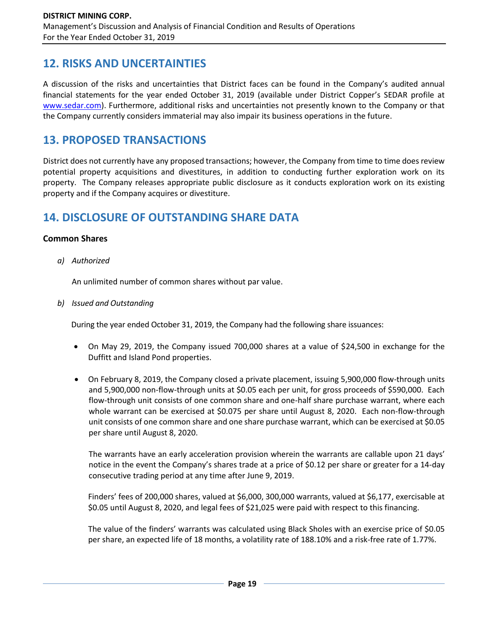## **12. RISKS AND UNCERTAINTIES**

A discussion of the risks and uncertainties that District faces can be found in the Company's audited annual financial statements for the year ended October 31, 2019 (available under District Copper's SEDAR profile at [www.sedar.com\)](http://www.sedar.com/). Furthermore, additional risks and uncertainties not presently known to the Company or that the Company currently considers immaterial may also impair its business operations in the future.

## **13. PROPOSED TRANSACTIONS**

District does not currently have any proposed transactions; however, the Company from time to time does review potential property acquisitions and divestitures, in addition to conducting further exploration work on its property. The Company releases appropriate public disclosure as it conducts exploration work on its existing property and if the Company acquires or divestiture.

## **14. DISCLOSURE OF OUTSTANDING SHARE DATA**

### **Common Shares**

*a) Authorized*

An unlimited number of common shares without par value.

*b) Issued and Outstanding*

During the year ended October 31, 2019, the Company had the following share issuances:

- On May 29, 2019, the Company issued 700,000 shares at a value of \$24,500 in exchange for the Duffitt and Island Pond properties.
- On February 8, 2019, the Company closed a private placement, issuing 5,900,000 flow-through units and 5,900,000 non-flow-through units at \$0.05 each per unit, for gross proceeds of \$590,000. Each flow-through unit consists of one common share and one-half share purchase warrant, where each whole warrant can be exercised at \$0.075 per share until August 8, 2020. Each non-flow-through unit consists of one common share and one share purchase warrant, which can be exercised at \$0.05 per share until August 8, 2020.

The warrants have an early acceleration provision wherein the warrants are callable upon 21 days' notice in the event the Company's shares trade at a price of \$0.12 per share or greater for a 14-day consecutive trading period at any time after June 9, 2019.

Finders' fees of 200,000 shares, valued at \$6,000, 300,000 warrants, valued at \$6,177, exercisable at \$0.05 until August 8, 2020, and legal fees of \$21,025 were paid with respect to this financing.

The value of the finders' warrants was calculated using Black Sholes with an exercise price of \$0.05 per share, an expected life of 18 months, a volatility rate of 188.10% and a risk-free rate of 1.77%.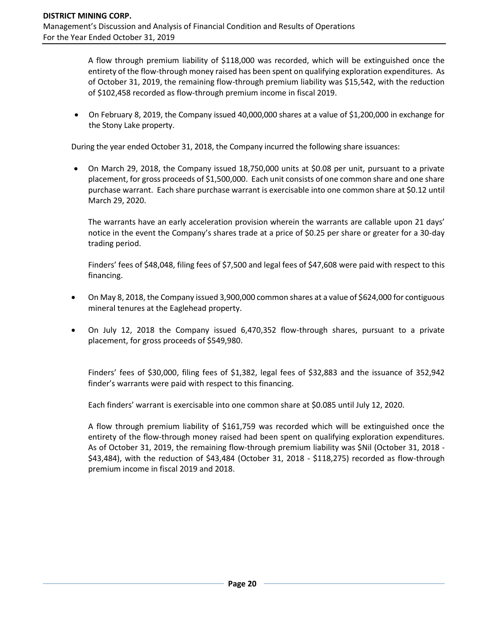A flow through premium liability of \$118,000 was recorded, which will be extinguished once the entirety of the flow-through money raised has been spent on qualifying exploration expenditures. As of October 31, 2019, the remaining flow-through premium liability was \$15,542, with the reduction of \$102,458 recorded as flow-through premium income in fiscal 2019.

• On February 8, 2019, the Company issued 40,000,000 shares at a value of \$1,200,000 in exchange for the Stony Lake property.

During the year ended October 31, 2018, the Company incurred the following share issuances:

• On March 29, 2018, the Company issued 18,750,000 units at \$0.08 per unit, pursuant to a private placement, for gross proceeds of \$1,500,000. Each unit consists of one common share and one share purchase warrant. Each share purchase warrant is exercisable into one common share at \$0.12 until March 29, 2020.

The warrants have an early acceleration provision wherein the warrants are callable upon 21 days' notice in the event the Company's shares trade at a price of \$0.25 per share or greater for a 30-day trading period.

Finders' fees of \$48,048, filing fees of \$7,500 and legal fees of \$47,608 were paid with respect to this financing.

- On May 8, 2018, the Company issued 3,900,000 common shares at a value of \$624,000 for contiguous mineral tenures at the Eaglehead property.
- On July 12, 2018 the Company issued 6,470,352 flow-through shares, pursuant to a private placement, for gross proceeds of \$549,980.

Finders' fees of \$30,000, filing fees of \$1,382, legal fees of \$32,883 and the issuance of 352,942 finder's warrants were paid with respect to this financing.

Each finders' warrant is exercisable into one common share at \$0.085 until July 12, 2020.

A flow through premium liability of \$161,759 was recorded which will be extinguished once the entirety of the flow-through money raised had been spent on qualifying exploration expenditures. As of October 31, 2019, the remaining flow-through premium liability was \$Nil (October 31, 2018 - \$43,484), with the reduction of \$43,484 (October 31, 2018 - \$118,275) recorded as flow-through premium income in fiscal 2019 and 2018.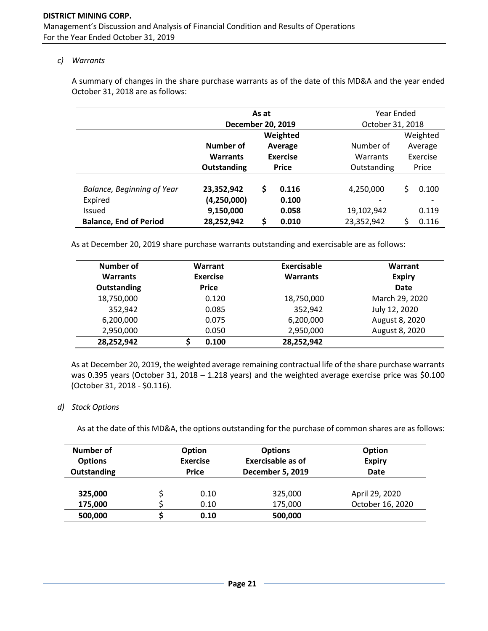#### *c) Warrants*

A summary of changes in the share purchase warrants as of the date of this MD&A and the year ended October 31, 2018 are as follows:

|                                   | As at                |                 |           | Year Ended  |                  |          |  |
|-----------------------------------|----------------------|-----------------|-----------|-------------|------------------|----------|--|
|                                   | December 20, 2019    |                 |           |             | October 31, 2018 |          |  |
|                                   | Weighted             |                 |           |             | Weighted         |          |  |
|                                   | Number of<br>Average |                 | Number of |             | Average          |          |  |
|                                   | <b>Warrants</b>      | <b>Exercise</b> |           | Warrants    |                  | Exercise |  |
|                                   | Outstanding          | <b>Price</b>    |           | Outstanding |                  | Price    |  |
| <b>Balance, Beginning of Year</b> | 23,352,942           | \$              | 0.116     | 4,250,000   | Ś                | 0.100    |  |
| Expired                           | (4,250,000)          |                 | 0.100     |             |                  |          |  |
| <b>Issued</b>                     | 9,150,000            |                 | 0.058     | 19,102,942  |                  | 0.119    |  |
| <b>Balance, End of Period</b>     | 28,252,942           | \$              | 0.010     | 23,352,942  |                  | 0.116    |  |

As at December 20, 2019 share purchase warrants outstanding and exercisable are as follows:

| Number of          | Warrant         | Exercisable     | Warrant        |
|--------------------|-----------------|-----------------|----------------|
| <b>Warrants</b>    | <b>Exercise</b> | <b>Warrants</b> | <b>Expiry</b>  |
| <b>Outstanding</b> | <b>Price</b>    |                 | <b>Date</b>    |
| 18,750,000         | 0.120           | 18,750,000      | March 29, 2020 |
| 352,942            | 0.085           | 352,942         | July 12, 2020  |
| 6,200,000          | 0.075           | 6,200,000       | August 8, 2020 |
| 2,950,000          | 0.050           | 2,950,000       | August 8, 2020 |
| 28,252,942         | 0.100           | 28,252,942      |                |

As at December 20, 2019, the weighted average remaining contractual life of the share purchase warrants was 0.395 years (October 31, 2018 – 1.218 years) and the weighted average exercise price was \$0.100 (October 31, 2018 - \$0.116).

#### *d) Stock Options*

As at the date of this MD&A, the options outstanding for the purchase of common shares are as follows:

| Number of<br><b>Options</b><br><b>Outstanding</b> | <b>Option</b><br><b>Options</b><br><b>Exercisable as of</b><br><b>Exercise</b><br><b>December 5, 2019</b><br><b>Price</b> |                    | Option<br><b>Expiry</b><br><b>Date</b> |
|---------------------------------------------------|---------------------------------------------------------------------------------------------------------------------------|--------------------|----------------------------------------|
| 325,000<br>175,000                                | 0.10<br>0.10                                                                                                              | 325,000<br>175,000 | April 29, 2020<br>October 16, 2020     |
| 500,000                                           | 0.10                                                                                                                      | 500,000            |                                        |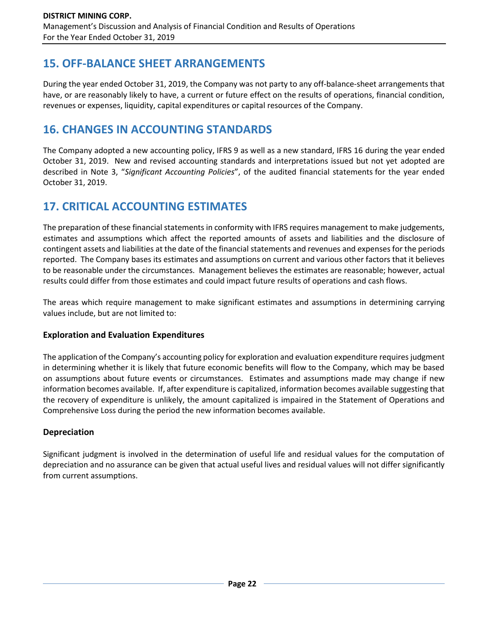## **15. OFF-BALANCE SHEET ARRANGEMENTS**

During the year ended October 31, 2019, the Company was not party to any off-balance-sheet arrangements that have, or are reasonably likely to have, a current or future effect on the results of operations, financial condition, revenues or expenses, liquidity, capital expenditures or capital resources of the Company.

## **16. CHANGES IN ACCOUNTING STANDARDS**

The Company adopted a new accounting policy, IFRS 9 as well as a new standard, IFRS 16 during the year ended October 31, 2019. New and revised accounting standards and interpretations issued but not yet adopted are described in Note 3, "*Significant Accounting Policies*", of the audited financial statements for the year ended October 31, 2019.

## **17. CRITICAL ACCOUNTING ESTIMATES**

The preparation of these financial statements in conformity with IFRS requires management to make judgements, estimates and assumptions which affect the reported amounts of assets and liabilities and the disclosure of contingent assets and liabilities at the date of the financial statements and revenues and expenses for the periods reported. The Company bases its estimates and assumptions on current and various other factors that it believes to be reasonable under the circumstances. Management believes the estimates are reasonable; however, actual results could differ from those estimates and could impact future results of operations and cash flows.

The areas which require management to make significant estimates and assumptions in determining carrying values include, but are not limited to:

## **Exploration and Evaluation Expenditures**

The application of the Company's accounting policy for exploration and evaluation expenditure requires judgment in determining whether it is likely that future economic benefits will flow to the Company, which may be based on assumptions about future events or circumstances. Estimates and assumptions made may change if new information becomes available. If, after expenditure is capitalized, information becomes available suggesting that the recovery of expenditure is unlikely, the amount capitalized is impaired in the Statement of Operations and Comprehensive Loss during the period the new information becomes available.

## **Depreciation**

Significant judgment is involved in the determination of useful life and residual values for the computation of depreciation and no assurance can be given that actual useful lives and residual values will not differ significantly from current assumptions.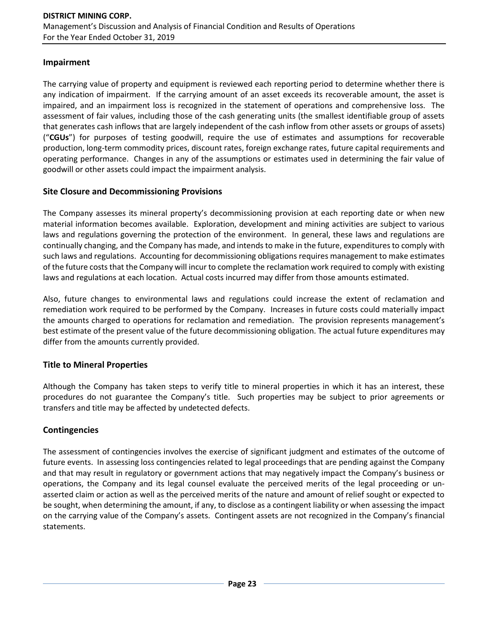### **Impairment**

The carrying value of property and equipment is reviewed each reporting period to determine whether there is any indication of impairment. If the carrying amount of an asset exceeds its recoverable amount, the asset is impaired, and an impairment loss is recognized in the statement of operations and comprehensive loss. The assessment of fair values, including those of the cash generating units (the smallest identifiable group of assets that generates cash inflows that are largely independent of the cash inflow from other assets or groups of assets) ("**CGUs**") for purposes of testing goodwill, require the use of estimates and assumptions for recoverable production, long-term commodity prices, discount rates, foreign exchange rates, future capital requirements and operating performance. Changes in any of the assumptions or estimates used in determining the fair value of goodwill or other assets could impact the impairment analysis.

### **Site Closure and Decommissioning Provisions**

The Company assesses its mineral property's decommissioning provision at each reporting date or when new material information becomes available. Exploration, development and mining activities are subject to various laws and regulations governing the protection of the environment. In general, these laws and regulations are continually changing, and the Company has made, and intends to make in the future, expenditures to comply with such laws and regulations. Accounting for decommissioning obligations requires management to make estimates of the future costs that the Company will incur to complete the reclamation work required to comply with existing laws and regulations at each location. Actual costs incurred may differ from those amounts estimated.

Also, future changes to environmental laws and regulations could increase the extent of reclamation and remediation work required to be performed by the Company. Increases in future costs could materially impact the amounts charged to operations for reclamation and remediation. The provision represents management's best estimate of the present value of the future decommissioning obligation. The actual future expenditures may differ from the amounts currently provided.

## **Title to Mineral Properties**

Although the Company has taken steps to verify title to mineral properties in which it has an interest, these procedures do not guarantee the Company's title. Such properties may be subject to prior agreements or transfers and title may be affected by undetected defects.

## **Contingencies**

The assessment of contingencies involves the exercise of significant judgment and estimates of the outcome of future events. In assessing loss contingencies related to legal proceedings that are pending against the Company and that may result in regulatory or government actions that may negatively impact the Company's business or operations, the Company and its legal counsel evaluate the perceived merits of the legal proceeding or unasserted claim or action as well as the perceived merits of the nature and amount of relief sought or expected to be sought, when determining the amount, if any, to disclose as a contingent liability or when assessing the impact on the carrying value of the Company's assets. Contingent assets are not recognized in the Company's financial statements.